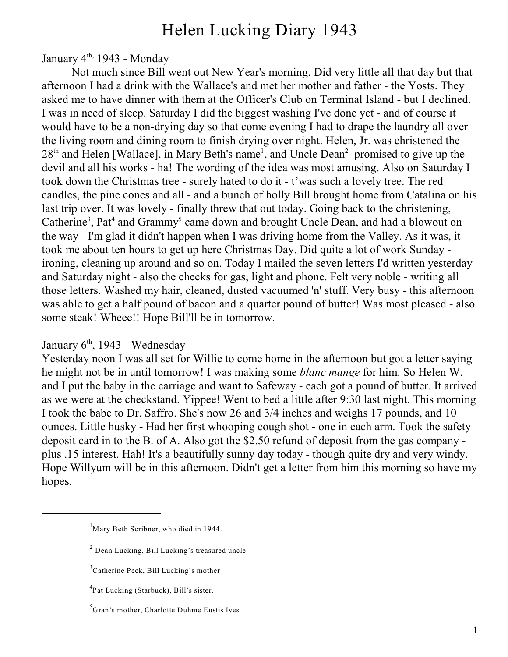# Helen Lucking Diary 1943

January  $4<sup>th</sup>$ , 1943 - Monday

Not much since Bill went out New Year's morning. Did very little all that day but that afternoon I had a drink with the Wallace's and met her mother and father - the Yosts. They asked me to have dinner with them at the Officer's Club on Terminal Island - but I declined. I was in need of sleep. Saturday I did the biggest washing I've done yet - and of course it would have to be a non-drying day so that come evening I had to drape the laundry all over the living room and dining room to finish drying over night. Helen, Jr. was christened the  $28<sup>th</sup>$  and Helen [Wallace], in Mary Beth's name<sup>1</sup>, and Uncle Dean<sup>2</sup> promised to give up the devil and all his works - ha! The wording of the idea was most amusing. Also on Saturday I took down the Christmas tree - surely hated to do it - t'was such a lovely tree. The red candles, the pine cones and all - and a bunch of holly Bill brought home from Catalina on his last trip over. It was lovely - finally threw that out today. Going back to the christening, Catherine<sup>3</sup>, Pat<sup>4</sup> and Grammy<sup>5</sup> came down and brought Uncle Dean, and had a blowout on the way - I'm glad it didn't happen when I was driving home from the Valley. As it was, it took me about ten hours to get up here Christmas Day. Did quite a lot of work Sunday ironing, cleaning up around and so on. Today I mailed the seven letters I'd written yesterday and Saturday night - also the checks for gas, light and phone. Felt very noble - writing all those letters. Washed my hair, cleaned, dusted vacuumed 'n' stuff. Very busy - this afternoon was able to get a half pound of bacon and a quarter pound of butter! Was most pleased - also some steak! Wheee!! Hope Bill'll be in tomorrow.

#### January  $6<sup>th</sup>$ , 1943 - Wednesday

Yesterday noon I was all set for Willie to come home in the afternoon but got a letter saying he might not be in until tomorrow! I was making some *blanc mange* for him. So Helen W. and I put the baby in the carriage and want to Safeway - each got a pound of butter. It arrived as we were at the checkstand. Yippee! Went to bed a little after 9:30 last night. This morning I took the babe to Dr. Saffro. She's now 26 and 3/4 inches and weighs 17 pounds, and 10 ounces. Little husky - Had her first whooping cough shot - one in each arm. Took the safety deposit card in to the B. of A. Also got the \$2.50 refund of deposit from the gas company plus .15 interest. Hah! It's a beautifully sunny day today - though quite dry and very windy. Hope Willyum will be in this afternoon. Didn't get a letter from him this morning so have my hopes.

 $<sup>1</sup>$ Mary Beth Scribner, who died in 1944.</sup>

 $^2$  Dean Lucking, Bill Lucking's treasured uncle.

 ${}^{3}$ Catherine Peck, Bill Lucking's mother

<sup>&</sup>lt;sup>4</sup>Pat Lucking (Starbuck), Bill's sister.

<sup>&</sup>lt;sup>5</sup>Gran's mother, Charlotte Duhme Eustis Ives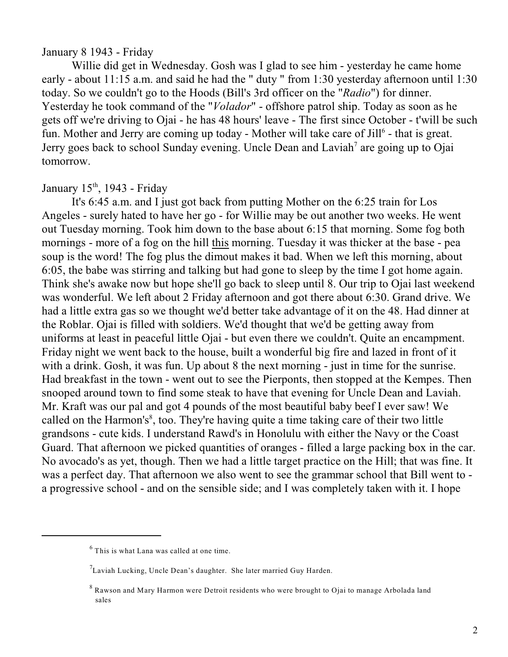#### January 8 1943 - Friday

Willie did get in Wednesday. Gosh was I glad to see him - yesterday he came home early - about 11:15 a.m. and said he had the " duty " from 1:30 yesterday afternoon until 1:30 today. So we couldn't go to the Hoods (Bill's 3rd officer on the "*Radio*") for dinner. Yesterday he took command of the "*Volador*" - offshore patrol ship. Today as soon as he gets off we're driving to Ojai - he has 48 hours' leave - The first since October - t'will be such fun. Mother and Jerry are coming up today - Mother will take care of  $Jill^6$  - that is great. Jerry goes back to school Sunday evening. Uncle Dean and Laviah<sup>7</sup> are going up to Ojai tomorrow.

January  $15<sup>th</sup>$ , 1943 - Friday

It's 6:45 a.m. and I just got back from putting Mother on the 6:25 train for Los Angeles - surely hated to have her go - for Willie may be out another two weeks. He went out Tuesday morning. Took him down to the base about 6:15 that morning. Some fog both mornings - more of a fog on the hill this morning. Tuesday it was thicker at the base - pea soup is the word! The fog plus the dimout makes it bad. When we left this morning, about 6:05, the babe was stirring and talking but had gone to sleep by the time I got home again. Think she's awake now but hope she'll go back to sleep until 8. Our trip to Ojai last weekend was wonderful. We left about 2 Friday afternoon and got there about 6:30. Grand drive. We had a little extra gas so we thought we'd better take advantage of it on the 48. Had dinner at the Roblar. Ojai is filled with soldiers. We'd thought that we'd be getting away from uniforms at least in peaceful little Ojai - but even there we couldn't. Quite an encampment. Friday night we went back to the house, built a wonderful big fire and lazed in front of it with a drink. Gosh, it was fun. Up about 8 the next morning - just in time for the sunrise. Had breakfast in the town - went out to see the Pierponts, then stopped at the Kempes. Then snooped around town to find some steak to have that evening for Uncle Dean and Laviah. Mr. Kraft was our pal and got 4 pounds of the most beautiful baby beef I ever saw! We called on the Harmon's<sup>8</sup>, too. They're having quite a time taking care of their two little grandsons - cute kids. I understand Rawd's in Honolulu with either the Navy or the Coast Guard. That afternoon we picked quantities of oranges - filled a large packing box in the car. No avocado's as yet, though. Then we had a little target practice on the Hill; that was fine. It was a perfect day. That afternoon we also went to see the grammar school that Bill went to a progressive school - and on the sensible side; and I was completely taken with it. I hope

 $6$  This is what Lana was called at one time.

 $^{7}$ Laviah Lucking, Uncle Dean's daughter. She later married Guy Harden.

 $8$  Rawson and Mary Harmon were Detroit residents who were brought to Ojai to manage Arbolada land sales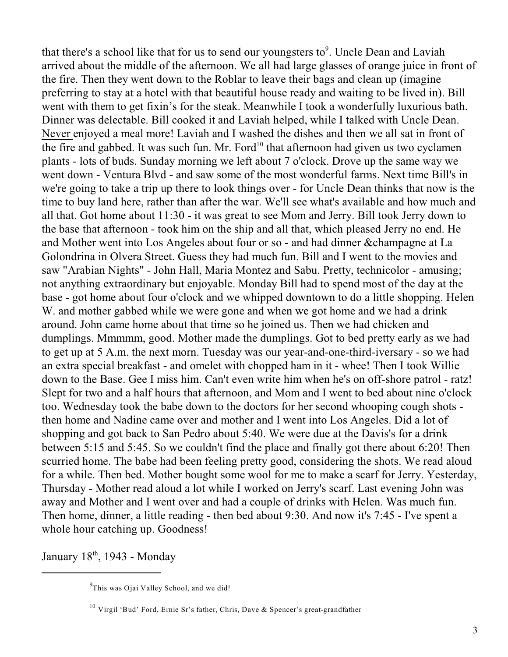that there's a school like that for us to send our youngsters to $\degree$ . Uncle Dean and Laviah arrived about the middle of the afternoon. We all had large glasses of orange juice in front of the fire. Then they went down to the Roblar to leave their bags and clean up (imagine preferring to stay at a hotel with that beautiful house ready and waiting to be lived in). Bill went with them to get fixin's for the steak. Meanwhile I took a wonderfully luxurious bath. Dinner was delectable. Bill cooked it and Laviah helped, while I talked with Uncle Dean. Never enjoyed a meal more! Laviah and I washed the dishes and then we all sat in front of the fire and gabbed. It was such fun. Mr. Ford<sup>10</sup> that afternoon had given us two cyclamen plants - lots of buds. Sunday morning we left about 7 o'clock. Drove up the same way we went down - Ventura Blvd - and saw some of the most wonderful farms. Next time Bill's in we're going to take a trip up there to look things over - for Uncle Dean thinks that now is the time to buy land here, rather than after the war. We'll see what's available and how much and all that. Got home about 11:30 - it was great to see Mom and Jerry. Bill took Jerry down to the base that afternoon - took him on the ship and all that, which pleased Jerry no end. He and Mother went into Los Angeles about four or so - and had dinner &champagne at La Golondrina in Olvera Street. Guess they had much fun. Bill and I went to the movies and saw "Arabian Nights" - John Hall, Maria Montez and Sabu. Pretty, technicolor - amusing; not anything extraordinary but enjoyable. Monday Bill had to spend most of the day at the base - got home about four o'clock and we whipped downtown to do a little shopping. Helen W. and mother gabbed while we were gone and when we got home and we had a drink around. John came home about that time so he joined us. Then we had chicken and dumplings. Mmmmm, good. Mother made the dumplings. Got to bed pretty early as we had to get up at 5 A.m. the next morn. Tuesday was our year-and-one-third-iversary - so we had an extra special breakfast - and omelet with chopped ham in it - whee! Then I took Willie down to the Base. Gee I miss him. Can't even write him when he's on off-shore patrol - ratz! Slept for two and a half hours that afternoon, and Mom and I went to bed about nine o'clock too. Wednesday took the babe down to the doctors for her second whooping cough shots then home and Nadine came over and mother and I went into Los Angeles. Did a lot of shopping and got back to San Pedro about 5:40. We were due at the Davis's for a drink between 5:15 and 5:45. So we couldn't find the place and finally got there about 6:20! Then scurried home. The babe had been feeling pretty good, considering the shots. We read aloud for a while. Then bed. Mother bought some wool for me to make a scarf for Jerry. Yesterday, Thursday - Mother read aloud a lot while I worked on Jerry's scarf. Last evening John was away and Mother and I went over and had a couple of drinks with Helen. Was much fun. Then home, dinner, a little reading - then bed about 9:30. And now it's 7:45 - I've spent a whole hour catching up. Goodness!

January  $18<sup>th</sup>$ , 1943 - Monday

 $^{9}$ This was Ojai Valley School, and we did!

 $^{10}$  Virgil 'Bud' Ford, Ernie Sr's father, Chris, Dave & Spencer's great-grandfather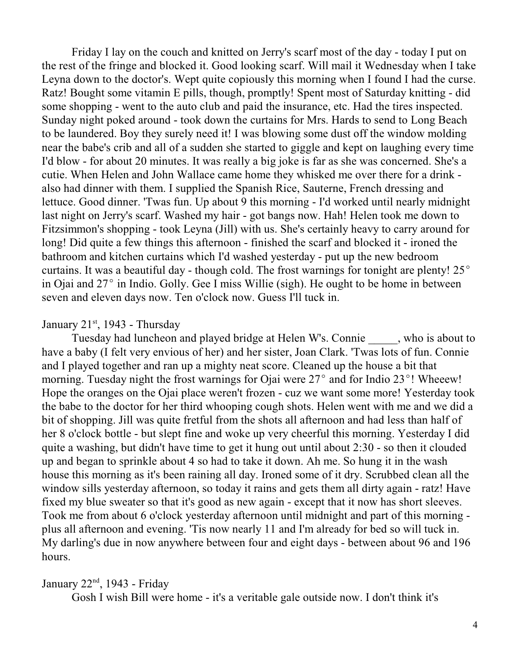Friday I lay on the couch and knitted on Jerry's scarf most of the day - today I put on the rest of the fringe and blocked it. Good looking scarf. Will mail it Wednesday when I take Leyna down to the doctor's. Wept quite copiously this morning when I found I had the curse. Ratz! Bought some vitamin E pills, though, promptly! Spent most of Saturday knitting - did some shopping - went to the auto club and paid the insurance, etc. Had the tires inspected. Sunday night poked around - took down the curtains for Mrs. Hards to send to Long Beach to be laundered. Boy they surely need it! I was blowing some dust off the window molding near the babe's crib and all of a sudden she started to giggle and kept on laughing every time I'd blow - for about 20 minutes. It was really a big joke is far as she was concerned. She's a cutie. When Helen and John Wallace came home they whisked me over there for a drink also had dinner with them. I supplied the Spanish Rice, Sauterne, French dressing and lettuce. Good dinner. 'Twas fun. Up about 9 this morning - I'd worked until nearly midnight last night on Jerry's scarf. Washed my hair - got bangs now. Hah! Helen took me down to Fitzsimmon's shopping - took Leyna (Jill) with us. She's certainly heavy to carry around for long! Did quite a few things this afternoon - finished the scarf and blocked it - ironed the bathroom and kitchen curtains which I'd washed yesterday - put up the new bedroom curtains. It was a beautiful day - though cold. The frost warnings for tonight are plenty!  $25^{\circ}$ in Ojai and  $27^{\circ}$  in Indio. Golly. Gee I miss Willie (sigh). He ought to be home in between seven and eleven days now. Ten o'clock now. Guess I'll tuck in.

#### January  $21<sup>st</sup>$ , 1943 - Thursday

Tuesday had luncheon and played bridge at Helen W's. Connie \_\_\_\_\_, who is about to have a baby (I felt very envious of her) and her sister, Joan Clark. 'Twas lots of fun. Connie and I played together and ran up a mighty neat score. Cleaned up the house a bit that morning. Tuesday night the frost warnings for Ojai were  $27^{\circ}$  and for Indio  $23^{\circ}$ ! Wheeew! Hope the oranges on the Ojai place weren't frozen - cuz we want some more! Yesterday took the babe to the doctor for her third whooping cough shots. Helen went with me and we did a bit of shopping. Jill was quite fretful from the shots all afternoon and had less than half of her 8 o'clock bottle - but slept fine and woke up very cheerful this morning. Yesterday I did quite a washing, but didn't have time to get it hung out until about 2:30 - so then it clouded up and began to sprinkle about 4 so had to take it down. Ah me. So hung it in the wash house this morning as it's been raining all day. Ironed some of it dry. Scrubbed clean all the window sills yesterday afternoon, so today it rains and gets them all dirty again - ratz! Have fixed my blue sweater so that it's good as new again - except that it now has short sleeves. Took me from about 6 o'clock yesterday afternoon until midnight and part of this morning plus all afternoon and evening. 'Tis now nearly 11 and I'm already for bed so will tuck in. My darling's due in now anywhere between four and eight days - between about 96 and 196 hours.

## January  $22<sup>nd</sup>$ , 1943 - Friday

Gosh I wish Bill were home - it's a veritable gale outside now. I don't think it's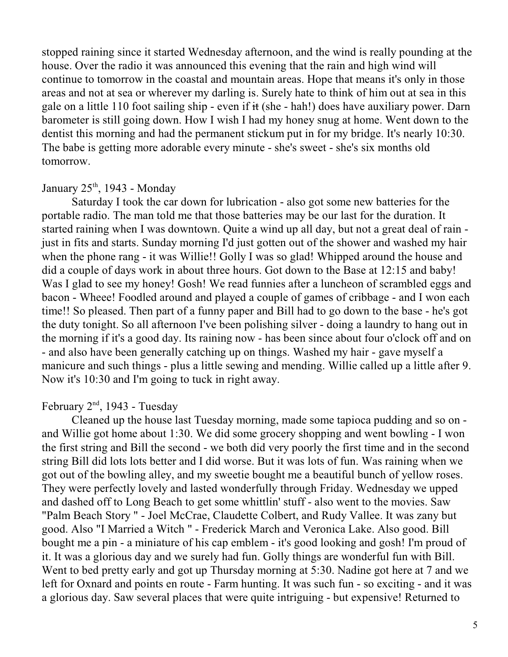stopped raining since it started Wednesday afternoon, and the wind is really pounding at the house. Over the radio it was announced this evening that the rain and high wind will continue to tomorrow in the coastal and mountain areas. Hope that means it's only in those areas and not at sea or wherever my darling is. Surely hate to think of him out at sea in this gale on a little 110 foot sailing ship - even if it (she - hah!) does have auxiliary power. Darn barometer is still going down. How I wish I had my honey snug at home. Went down to the dentist this morning and had the permanent stickum put in for my bridge. It's nearly 10:30. The babe is getting more adorable every minute - she's sweet - she's six months old tomorrow.

# January  $25<sup>th</sup>$ , 1943 - Monday

Saturday I took the car down for lubrication - also got some new batteries for the portable radio. The man told me that those batteries may be our last for the duration. It started raining when I was downtown. Quite a wind up all day, but not a great deal of rain just in fits and starts. Sunday morning I'd just gotten out of the shower and washed my hair when the phone rang - it was Willie!! Golly I was so glad! Whipped around the house and did a couple of days work in about three hours. Got down to the Base at 12:15 and baby! Was I glad to see my honey! Gosh! We read funnies after a luncheon of scrambled eggs and bacon - Wheee! Foodled around and played a couple of games of cribbage - and I won each time!! So pleased. Then part of a funny paper and Bill had to go down to the base - he's got the duty tonight. So all afternoon I've been polishing silver - doing a laundry to hang out in the morning if it's a good day. Its raining now - has been since about four o'clock off and on - and also have been generally catching up on things. Washed my hair - gave myself a manicure and such things - plus a little sewing and mending. Willie called up a little after 9. Now it's 10:30 and I'm going to tuck in right away.

## February  $2<sup>nd</sup>$ , 1943 - Tuesday

Cleaned up the house last Tuesday morning, made some tapioca pudding and so on and Willie got home about 1:30. We did some grocery shopping and went bowling - I won the first string and Bill the second - we both did very poorly the first time and in the second string Bill did lots lots better and I did worse. But it was lots of fun. Was raining when we got out of the bowling alley, and my sweetie bought me a beautiful bunch of yellow roses. They were perfectly lovely and lasted wonderfully through Friday. Wednesday we upped and dashed off to Long Beach to get some whittlin' stuff - also went to the movies. Saw "Palm Beach Story " - Joel McCrae, Claudette Colbert, and Rudy Vallee. It was zany but good. Also "I Married a Witch " - Frederick March and Veronica Lake. Also good. Bill bought me a pin - a miniature of his cap emblem - it's good looking and gosh! I'm proud of it. It was a glorious day and we surely had fun. Golly things are wonderful fun with Bill. Went to bed pretty early and got up Thursday morning at 5:30. Nadine got here at 7 and we left for Oxnard and points en route - Farm hunting. It was such fun - so exciting - and it was a glorious day. Saw several places that were quite intriguing - but expensive! Returned to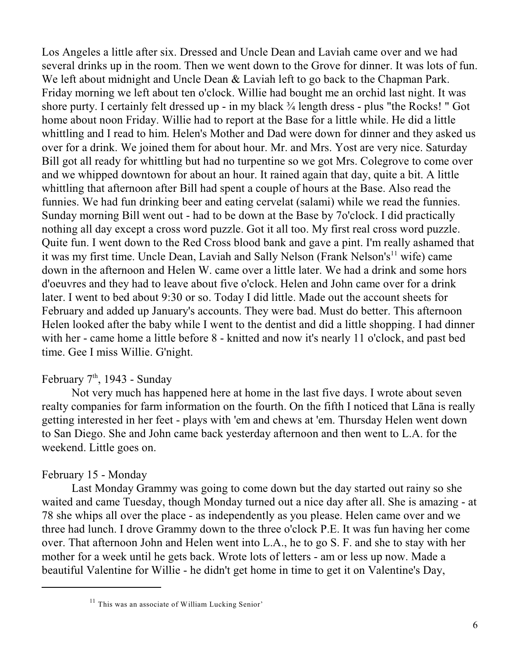Los Angeles a little after six. Dressed and Uncle Dean and Laviah came over and we had several drinks up in the room. Then we went down to the Grove for dinner. It was lots of fun. We left about midnight and Uncle Dean & Laviah left to go back to the Chapman Park. Friday morning we left about ten o'clock. Willie had bought me an orchid last night. It was shore purty. I certainly felt dressed up - in my black ¾ length dress - plus "the Rocks! " Got home about noon Friday. Willie had to report at the Base for a little while. He did a little whittling and I read to him. Helen's Mother and Dad were down for dinner and they asked us over for a drink. We joined them for about hour. Mr. and Mrs. Yost are very nice. Saturday Bill got all ready for whittling but had no turpentine so we got Mrs. Colegrove to come over and we whipped downtown for about an hour. It rained again that day, quite a bit. A little whittling that afternoon after Bill had spent a couple of hours at the Base. Also read the funnies. We had fun drinking beer and eating cervelat (salami) while we read the funnies. Sunday morning Bill went out - had to be down at the Base by 7o'clock. I did practically nothing all day except a cross word puzzle. Got it all too. My first real cross word puzzle. Quite fun. I went down to the Red Cross blood bank and gave a pint. I'm really ashamed that it was my first time. Uncle Dean, Laviah and Sally Nelson (Frank Nelson's<sup>11</sup> wife) came down in the afternoon and Helen W. came over a little later. We had a drink and some hors d'oeuvres and they had to leave about five o'clock. Helen and John came over for a drink later. I went to bed about 9:30 or so. Today I did little. Made out the account sheets for February and added up January's accounts. They were bad. Must do better. This afternoon Helen looked after the baby while I went to the dentist and did a little shopping. I had dinner with her - came home a little before 8 - knitted and now it's nearly 11 o'clock, and past bed time. Gee I miss Willie. G'night.

# February  $7<sup>th</sup>$ , 1943 - Sunday

Not very much has happened here at home in the last five days. I wrote about seven realty companies for farm information on the fourth. On the fifth I noticed that Lâna is really getting interested in her feet - plays with 'em and chews at 'em. Thursday Helen went down to San Diego. She and John came back yesterday afternoon and then went to L.A. for the weekend. Little goes on.

## February 15 - Monday

Last Monday Grammy was going to come down but the day started out rainy so she waited and came Tuesday, though Monday turned out a nice day after all. She is amazing - at 78 she whips all over the place - as independently as you please. Helen came over and we three had lunch. I drove Grammy down to the three o'clock P.E. It was fun having her come over. That afternoon John and Helen went into L.A., he to go S. F. and she to stay with her mother for a week until he gets back. Wrote lots of letters - am or less up now. Made a beautiful Valentine for Willie - he didn't get home in time to get it on Valentine's Day,

 $11$  This was an associate of William Lucking Senior'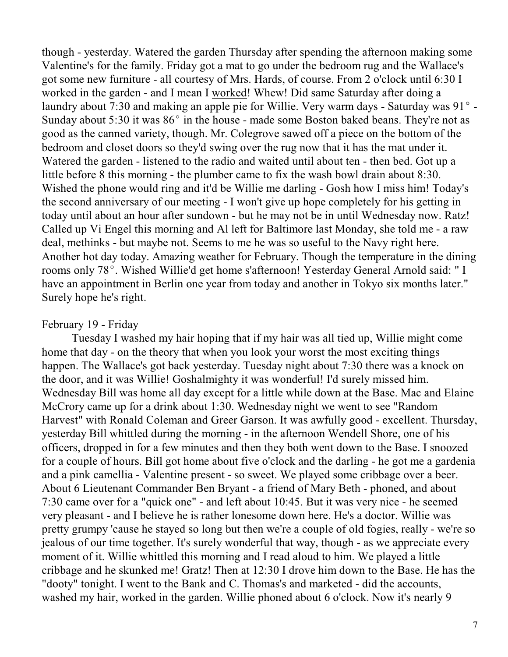though - yesterday. Watered the garden Thursday after spending the afternoon making some Valentine's for the family. Friday got a mat to go under the bedroom rug and the Wallace's got some new furniture - all courtesy of Mrs. Hards, of course. From 2 o'clock until 6:30 I worked in the garden - and I mean I worked! Whew! Did same Saturday after doing a laundry about 7:30 and making an apple pie for Willie. Very warm days - Saturday was  $91^\circ$  -Sunday about 5:30 it was  $86^{\circ}$  in the house - made some Boston baked beans. They're not as good as the canned variety, though. Mr. Colegrove sawed off a piece on the bottom of the bedroom and closet doors so they'd swing over the rug now that it has the mat under it. Watered the garden - listened to the radio and waited until about ten - then bed. Got up a little before 8 this morning - the plumber came to fix the wash bowl drain about 8:30. Wished the phone would ring and it'd be Willie me darling - Gosh how I miss him! Today's the second anniversary of our meeting - I won't give up hope completely for his getting in today until about an hour after sundown - but he may not be in until Wednesday now. Ratz! Called up Vi Engel this morning and Al left for Baltimore last Monday, she told me - a raw deal, methinks - but maybe not. Seems to me he was so useful to the Navy right here. Another hot day today. Amazing weather for February. Though the temperature in the dining rooms only 78°. Wished Willie'd get home s'afternoon! Yesterday General Arnold said: " I have an appointment in Berlin one year from today and another in Tokyo six months later." Surely hope he's right.

#### February 19 - Friday

Tuesday I washed my hair hoping that if my hair was all tied up, Willie might come home that day - on the theory that when you look your worst the most exciting things happen. The Wallace's got back yesterday. Tuesday night about 7:30 there was a knock on the door, and it was Willie! Goshalmighty it was wonderful! I'd surely missed him. Wednesday Bill was home all day except for a little while down at the Base. Mac and Elaine McCrory came up for a drink about 1:30. Wednesday night we went to see "Random Harvest" with Ronald Coleman and Greer Garson. It was awfully good - excellent. Thursday, yesterday Bill whittled during the morning - in the afternoon Wendell Shore, one of his officers, dropped in for a few minutes and then they both went down to the Base. I snoozed for a couple of hours. Bill got home about five o'clock and the darling - he got me a gardenia and a pink camellia - Valentine present - so sweet. We played some cribbage over a beer. About 6 Lieutenant Commander Ben Bryant - a friend of Mary Beth - phoned, and about 7:30 came over for a "quick one" - and left about 10:45. But it was very nice - he seemed very pleasant - and I believe he is rather lonesome down here. He's a doctor. Willie was pretty grumpy 'cause he stayed so long but then we're a couple of old fogies, really - we're so jealous of our time together. It's surely wonderful that way, though - as we appreciate every moment of it. Willie whittled this morning and I read aloud to him. We played a little cribbage and he skunked me! Gratz! Then at 12:30 I drove him down to the Base. He has the "dooty" tonight. I went to the Bank and C. Thomas's and marketed - did the accounts, washed my hair, worked in the garden. Willie phoned about 6 o'clock. Now it's nearly 9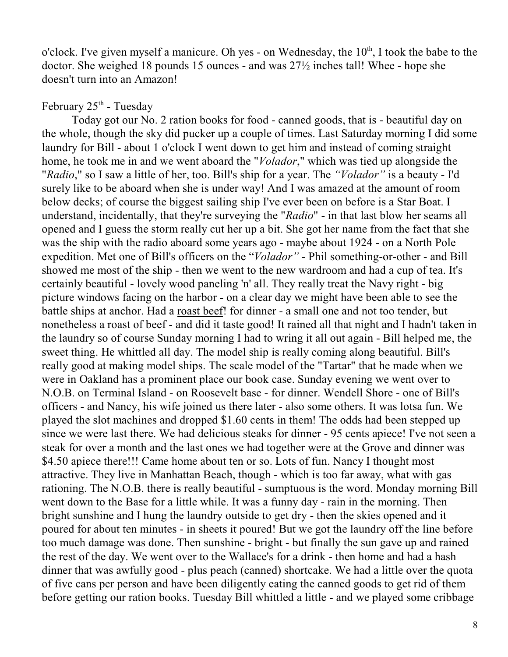o'clock. I've given myself a manicure. Oh yes - on Wednesday, the  $10<sup>th</sup>$ , I took the babe to the doctor. She weighed 18 pounds 15 ounces - and was 27½ inches tall! Whee - hope she doesn't turn into an Amazon!

# February  $25<sup>th</sup>$  - Tuesday

Today got our No. 2 ration books for food - canned goods, that is - beautiful day on the whole, though the sky did pucker up a couple of times. Last Saturday morning I did some laundry for Bill - about 1 o'clock I went down to get him and instead of coming straight home, he took me in and we went aboard the "*Volador*," which was tied up alongside the "*Radio*," so I saw a little of her, too. Bill's ship for a year. The *"Volador"* is a beauty - I'd surely like to be aboard when she is under way! And I was amazed at the amount of room below decks; of course the biggest sailing ship I've ever been on before is a Star Boat. I understand, incidentally, that they're surveying the "*Radio*" - in that last blow her seams all opened and I guess the storm really cut her up a bit. She got her name from the fact that she was the ship with the radio aboard some years ago - maybe about 1924 - on a North Pole expedition. Met one of Bill's officers on the "*Volador"* - Phil something-or-other - and Bill showed me most of the ship - then we went to the new wardroom and had a cup of tea. It's certainly beautiful - lovely wood paneling 'n' all. They really treat the Navy right - big picture windows facing on the harbor - on a clear day we might have been able to see the battle ships at anchor. Had a roast beef! for dinner - a small one and not too tender, but nonetheless a roast of beef - and did it taste good! It rained all that night and I hadn't taken in the laundry so of course Sunday morning I had to wring it all out again - Bill helped me, the sweet thing. He whittled all day. The model ship is really coming along beautiful. Bill's really good at making model ships. The scale model of the "Tartar" that he made when we were in Oakland has a prominent place our book case. Sunday evening we went over to N.O.B. on Terminal Island - on Roosevelt base - for dinner. Wendell Shore - one of Bill's officers - and Nancy, his wife joined us there later - also some others. It was lotsa fun. We played the slot machines and dropped \$1.60 cents in them! The odds had been stepped up since we were last there. We had delicious steaks for dinner - 95 cents apiece! I've not seen a steak for over a month and the last ones we had together were at the Grove and dinner was \$4.50 apiece there!!! Came home about ten or so. Lots of fun. Nancy I thought most attractive. They live in Manhattan Beach, though - which is too far away, what with gas rationing. The N.O.B. there is really beautiful - sumptuous is the word. Monday morning Bill went down to the Base for a little while. It was a funny day - rain in the morning. Then bright sunshine and I hung the laundry outside to get dry - then the skies opened and it poured for about ten minutes - in sheets it poured! But we got the laundry off the line before too much damage was done. Then sunshine - bright - but finally the sun gave up and rained the rest of the day. We went over to the Wallace's for a drink - then home and had a hash dinner that was awfully good - plus peach (canned) shortcake. We had a little over the quota of five cans per person and have been diligently eating the canned goods to get rid of them before getting our ration books. Tuesday Bill whittled a little - and we played some cribbage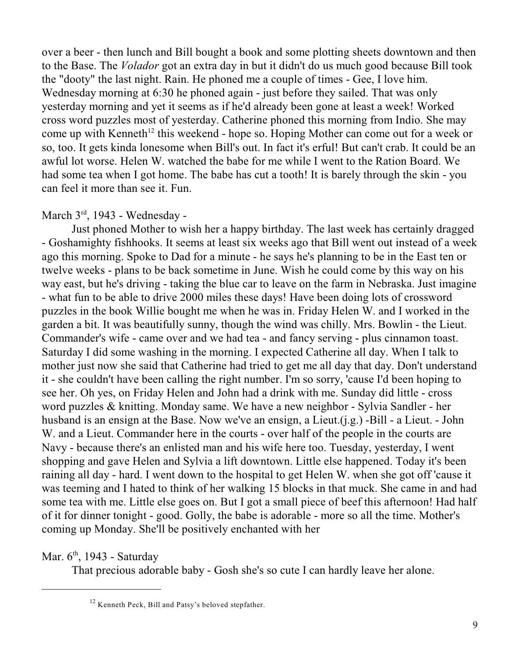over a beer - then lunch and Bill bought a book and some plotting sheets downtown and then to the Base. The *Volador* got an extra day in but it didn't do us much good because Bill took the "dooty" the last night. Rain. He phoned me a couple of times - Gee, I love him. Wednesday morning at 6:30 he phoned again - just before they sailed. That was only yesterday morning and yet it seems as if he'd already been gone at least a week! Worked cross word puzzles most of yesterday. Catherine phoned this morning from Indio. She may come up with Kenneth<sup>12</sup> this weekend - hope so. Hoping Mother can come out for a week or so, too. It gets kinda lonesome when Bill's out. In fact it's erful! But can't crab. It could be an awful lot worse. Helen W. watched the babe for me while I went to the Ration Board. We had some tea when I got home. The babe has cut a tooth! It is barely through the skin - you can feel it more than see it. Fun.

## March  $3<sup>rd</sup>$ , 1943 - Wednesday -

Just phoned Mother to wish her a happy birthday. The last week has certainly dragged - Goshamighty fishhooks. It seems at least six weeks ago that Bill went out instead of a week ago this morning. Spoke to Dad for a minute - he says he's planning to be in the East ten or twelve weeks - plans to be back sometime in June. Wish he could come by this way on his way east, but he's driving - taking the blue car to leave on the farm in Nebraska. Just imagine - what fun to be able to drive 2000 miles these days! Have been doing lots of crossword puzzles in the book Willie bought me when he was in. Friday Helen W. and I worked in the garden a bit. It was beautifully sunny, though the wind was chilly. Mrs. Bowlin - the Lieut. Commander's wife - came over and we had tea - and fancy serving - plus cinnamon toast. Saturday I did some washing in the morning. I expected Catherine all day. When I talk to mother just now she said that Catherine had tried to get me all day that day. Don't understand it - she couldn't have been calling the right number. I'm so sorry, 'cause I'd been hoping to see her. Oh yes, on Friday Helen and John had a drink with me. Sunday did little - cross word puzzles & knitting. Monday same. We have a new neighbor - Sylvia Sandler - her husband is an ensign at the Base. Now we've an ensign, a Lieut.(j.g.) -Bill - a Lieut. - John W. and a Lieut. Commander here in the courts - over half of the people in the courts are Navy - because there's an enlisted man and his wife here too. Tuesday, yesterday, I went shopping and gave Helen and Sylvia a lift downtown. Little else happened. Today it's been raining all day - hard. I went down to the hospital to get Helen W. when she got off 'cause it was teeming and I hated to think of her walking 15 blocks in that muck. She came in and had some tea with me. Little else goes on. But I got a small piece of beef this afternoon! Had half of it for dinner tonight - good. Golly, the babe is adorable - more so all the time. Mother's coming up Monday. She'll be positively enchanted with her

# Mar.  $6<sup>th</sup>$ , 1943 - Saturday

That precious adorable baby - Gosh she's so cute I can hardly leave her alone.

 $12$  Kenneth Peck, Bill and Patsy's beloved stepfather.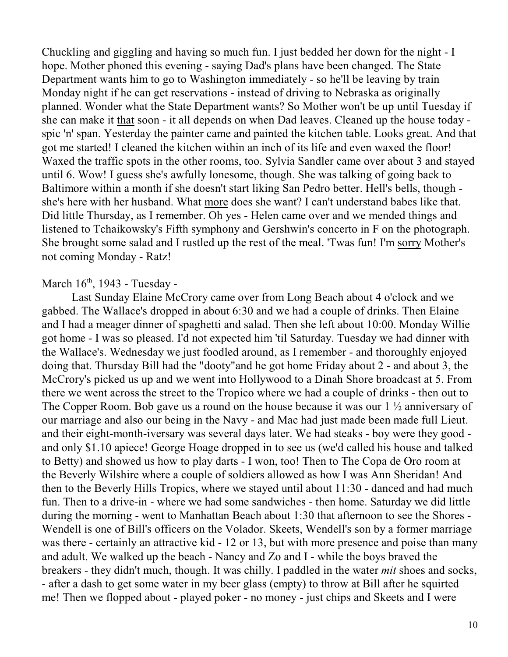Chuckling and giggling and having so much fun. I just bedded her down for the night - I hope. Mother phoned this evening - saying Dad's plans have been changed. The State Department wants him to go to Washington immediately - so he'll be leaving by train Monday night if he can get reservations - instead of driving to Nebraska as originally planned. Wonder what the State Department wants? So Mother won't be up until Tuesday if she can make it that soon - it all depends on when Dad leaves. Cleaned up the house today spic 'n' span. Yesterday the painter came and painted the kitchen table. Looks great. And that got me started! I cleaned the kitchen within an inch of its life and even waxed the floor! Waxed the traffic spots in the other rooms, too. Sylvia Sandler came over about 3 and stayed until 6. Wow! I guess she's awfully lonesome, though. She was talking of going back to Baltimore within a month if she doesn't start liking San Pedro better. Hell's bells, though she's here with her husband. What more does she want? I can't understand babes like that. Did little Thursday, as I remember. Oh yes - Helen came over and we mended things and listened to Tchaikowsky's Fifth symphony and Gershwin's concerto in F on the photograph. She brought some salad and I rustled up the rest of the meal. 'Twas fun! I'm sorry Mother's not coming Monday - Ratz!

#### March  $16<sup>th</sup>$ , 1943 - Tuesday -

Last Sunday Elaine McCrory came over from Long Beach about 4 o'clock and we gabbed. The Wallace's dropped in about 6:30 and we had a couple of drinks. Then Elaine and I had a meager dinner of spaghetti and salad. Then she left about 10:00. Monday Willie got home - I was so pleased. I'd not expected him 'til Saturday. Tuesday we had dinner with the Wallace's. Wednesday we just foodled around, as I remember - and thoroughly enjoyed doing that. Thursday Bill had the "dooty"and he got home Friday about 2 - and about 3, the McCrory's picked us up and we went into Hollywood to a Dinah Shore broadcast at 5. From there we went across the street to the Tropico where we had a couple of drinks - then out to The Copper Room. Bob gave us a round on the house because it was our 1 ½ anniversary of our marriage and also our being in the Navy - and Mac had just made been made full Lieut. and their eight-month-iversary was several days later. We had steaks - boy were they good and only \$1.10 apiece! George Hoage dropped in to see us (we'd called his house and talked to Betty) and showed us how to play darts - I won, too! Then to The Copa de Oro room at the Beverly Wilshire where a couple of soldiers allowed as how I was Ann Sheridan! And then to the Beverly Hills Tropics, where we stayed until about 11:30 - danced and had much fun. Then to a drive-in - where we had some sandwiches - then home. Saturday we did little during the morning - went to Manhattan Beach about 1:30 that afternoon to see the Shores - Wendell is one of Bill's officers on the Volador. Skeets, Wendell's son by a former marriage was there - certainly an attractive kid - 12 or 13, but with more presence and poise than many and adult. We walked up the beach - Nancy and Zo and I - while the boys braved the breakers - they didn't much, though. It was chilly. I paddled in the water *mit* shoes and socks, - after a dash to get some water in my beer glass (empty) to throw at Bill after he squirted me! Then we flopped about - played poker - no money - just chips and Skeets and I were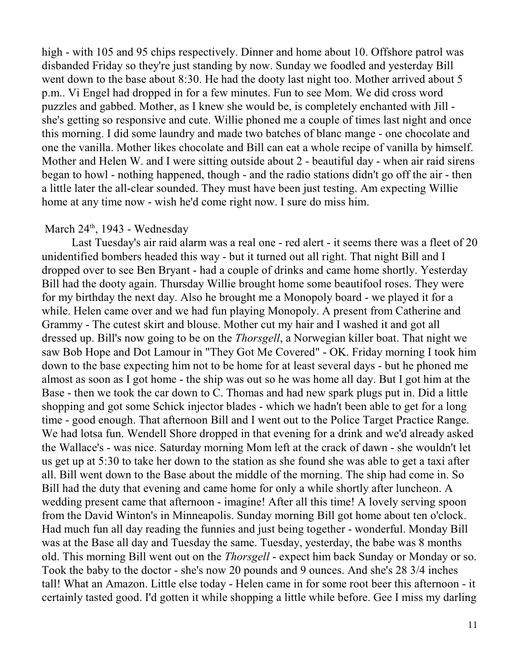high - with 105 and 95 chips respectively. Dinner and home about 10. Offshore patrol was disbanded Friday so they're just standing by now. Sunday we foodled and yesterday Bill went down to the base about 8:30. He had the dooty last night too. Mother arrived about 5 p.m.. Vi Engel had dropped in for a few minutes. Fun to see Mom. We did cross word puzzles and gabbed. Mother, as I knew she would be, is completely enchanted with Jill she's getting so responsive and cute. Willie phoned me a couple of times last night and once this morning. I did some laundry and made two batches of blanc mange - one chocolate and one the vanilla. Mother likes chocolate and Bill can eat a whole recipe of vanilla by himself. Mother and Helen W. and I were sitting outside about 2 - beautiful day - when air raid sirens began to howl - nothing happened, though - and the radio stations didn't go off the air - then a little later the all-clear sounded. They must have been just testing. Am expecting Willie home at any time now - wish he'd come right now. I sure do miss him.

## March  $24<sup>th</sup>$ , 1943 - Wednesday

Last Tuesday's air raid alarm was a real one - red alert - it seems there was a fleet of 20 unidentified bombers headed this way - but it turned out all right. That night Bill and I dropped over to see Ben Bryant - had a couple of drinks and came home shortly. Yesterday Bill had the dooty again. Thursday Willie brought home some beautifool roses. They were for my birthday the next day. Also he brought me a Monopoly board - we played it for a while. Helen came over and we had fun playing Monopoly. A present from Catherine and Grammy - The cutest skirt and blouse. Mother cut my hair and I washed it and got all dressed up. Bill's now going to be on the *Thorsgell*, a Norwegian killer boat. That night we saw Bob Hope and Dot Lamour in "They Got Me Covered" - OK. Friday morning I took him down to the base expecting him not to be home for at least several days - but he phoned me almost as soon as I got home - the ship was out so he was home all day. But I got him at the Base - then we took the car down to C. Thomas and had new spark plugs put in. Did a little shopping and got some Schick injector blades - which we hadn't been able to get for a long time - good enough. That afternoon Bill and I went out to the Police Target Practice Range. We had lotsa fun. Wendell Shore dropped in that evening for a drink and we'd already asked the Wallace's - was nice. Saturday morning Mom left at the crack of dawn - she wouldn't let us get up at 5:30 to take her down to the station as she found she was able to get a taxi after all. Bill went down to the Base about the middle of the morning. The ship had come in. So Bill had the duty that evening and came home for only a while shortly after luncheon. A wedding present came that afternoon - imagine! After all this time! A lovely serving spoon from the David Winton's in Minneapolis. Sunday morning Bill got home about ten o'clock. Had much fun all day reading the funnies and just being together - wonderful. Monday Bill was at the Base all day and Tuesday the same. Tuesday, yesterday, the babe was 8 months old. This morning Bill went out on the *Thorsgell* - expect him back Sunday or Monday or so. Took the baby to the doctor - she's now 20 pounds and 9 ounces. And she's 28 3/4 inches tall! What an Amazon. Little else today - Helen came in for some root beer this afternoon - it certainly tasted good. I'd gotten it while shopping a little while before. Gee I miss my darling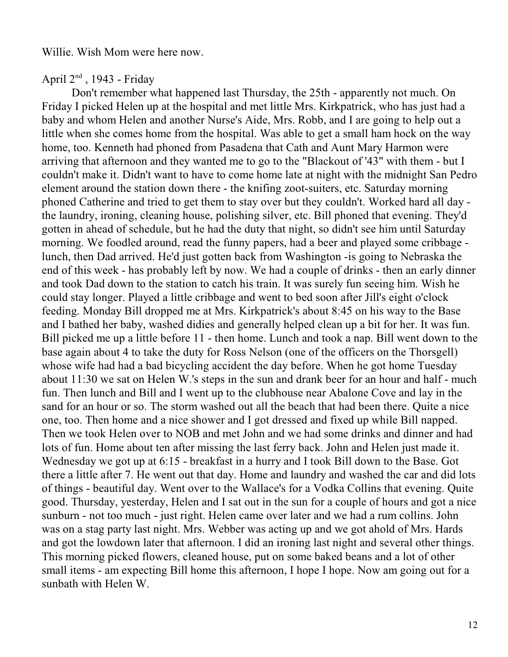Willie. Wish Mom were here now.

April  $2<sup>nd</sup>$ , 1943 - Friday

Don't remember what happened last Thursday, the 25th - apparently not much. On Friday I picked Helen up at the hospital and met little Mrs. Kirkpatrick, who has just had a baby and whom Helen and another Nurse's Aide, Mrs. Robb, and I are going to help out a little when she comes home from the hospital. Was able to get a small ham hock on the way home, too. Kenneth had phoned from Pasadena that Cath and Aunt Mary Harmon were arriving that afternoon and they wanted me to go to the "Blackout of '43" with them - but I couldn't make it. Didn't want to have to come home late at night with the midnight San Pedro element around the station down there - the knifing zoot-suiters, etc. Saturday morning phoned Catherine and tried to get them to stay over but they couldn't. Worked hard all day the laundry, ironing, cleaning house, polishing silver, etc. Bill phoned that evening. They'd gotten in ahead of schedule, but he had the duty that night, so didn't see him until Saturday morning. We foodled around, read the funny papers, had a beer and played some cribbage lunch, then Dad arrived. He'd just gotten back from Washington -is going to Nebraska the end of this week - has probably left by now. We had a couple of drinks - then an early dinner and took Dad down to the station to catch his train. It was surely fun seeing him. Wish he could stay longer. Played a little cribbage and went to bed soon after Jill's eight o'clock feeding. Monday Bill dropped me at Mrs. Kirkpatrick's about 8:45 on his way to the Base and I bathed her baby, washed didies and generally helped clean up a bit for her. It was fun. Bill picked me up a little before 11 - then home. Lunch and took a nap. Bill went down to the base again about 4 to take the duty for Ross Nelson (one of the officers on the Thorsgell) whose wife had had a bad bicycling accident the day before. When he got home Tuesday about 11:30 we sat on Helen W.'s steps in the sun and drank beer for an hour and half - much fun. Then lunch and Bill and I went up to the clubhouse near Abalone Cove and lay in the sand for an hour or so. The storm washed out all the beach that had been there. Quite a nice one, too. Then home and a nice shower and I got dressed and fixed up while Bill napped. Then we took Helen over to NOB and met John and we had some drinks and dinner and had lots of fun. Home about ten after missing the last ferry back. John and Helen just made it. Wednesday we got up at 6:15 - breakfast in a hurry and I took Bill down to the Base. Got there a little after 7. He went out that day. Home and laundry and washed the car and did lots of things - beautiful day. Went over to the Wallace's for a Vodka Collins that evening. Quite good. Thursday, yesterday, Helen and I sat out in the sun for a couple of hours and got a nice sunburn - not too much - just right. Helen came over later and we had a rum collins. John was on a stag party last night. Mrs. Webber was acting up and we got ahold of Mrs. Hards and got the lowdown later that afternoon. I did an ironing last night and several other things. This morning picked flowers, cleaned house, put on some baked beans and a lot of other small items - am expecting Bill home this afternoon, I hope I hope. Now am going out for a sunbath with Helen W.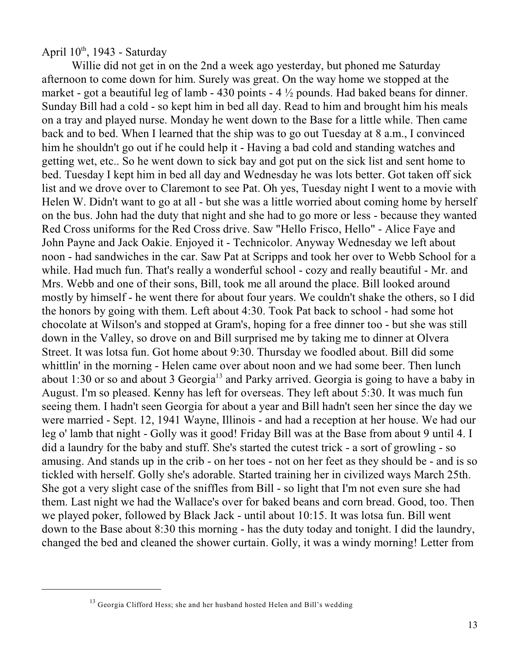April  $10^{th}$ , 1943 - Saturday

Willie did not get in on the 2nd a week ago yesterday, but phoned me Saturday afternoon to come down for him. Surely was great. On the way home we stopped at the market - got a beautiful leg of lamb - 430 points -  $4\frac{1}{2}$  pounds. Had baked beans for dinner. Sunday Bill had a cold - so kept him in bed all day. Read to him and brought him his meals on a tray and played nurse. Monday he went down to the Base for a little while. Then came back and to bed. When I learned that the ship was to go out Tuesday at 8 a.m., I convinced him he shouldn't go out if he could help it - Having a bad cold and standing watches and getting wet, etc.. So he went down to sick bay and got put on the sick list and sent home to bed. Tuesday I kept him in bed all day and Wednesday he was lots better. Got taken off sick list and we drove over to Claremont to see Pat. Oh yes, Tuesday night I went to a movie with Helen W. Didn't want to go at all - but she was a little worried about coming home by herself on the bus. John had the duty that night and she had to go more or less - because they wanted Red Cross uniforms for the Red Cross drive. Saw "Hello Frisco, Hello" - Alice Faye and John Payne and Jack Oakie. Enjoyed it - Technicolor. Anyway Wednesday we left about noon - had sandwiches in the car. Saw Pat at Scripps and took her over to Webb School for a while. Had much fun. That's really a wonderful school - cozy and really beautiful - Mr. and Mrs. Webb and one of their sons, Bill, took me all around the place. Bill looked around mostly by himself - he went there for about four years. We couldn't shake the others, so I did the honors by going with them. Left about 4:30. Took Pat back to school - had some hot chocolate at Wilson's and stopped at Gram's, hoping for a free dinner too - but she was still down in the Valley, so drove on and Bill surprised me by taking me to dinner at Olvera Street. It was lotsa fun. Got home about 9:30. Thursday we foodled about. Bill did some whittlin' in the morning - Helen came over about noon and we had some beer. Then lunch about 1:30 or so and about 3 Georgia<sup>13</sup> and Parky arrived. Georgia is going to have a baby in August. I'm so pleased. Kenny has left for overseas. They left about 5:30. It was much fun seeing them. I hadn't seen Georgia for about a year and Bill hadn't seen her since the day we were married - Sept. 12, 1941 Wayne, Illinois - and had a reception at her house. We had our leg o' lamb that night - Golly was it good! Friday Bill was at the Base from about 9 until 4. I did a laundry for the baby and stuff. She's started the cutest trick - a sort of growling - so amusing. And stands up in the crib - on her toes - not on her feet as they should be - and is so tickled with herself. Golly she's adorable. Started training her in civilized ways March 25th. She got a very slight case of the sniffles from Bill - so light that I'm not even sure she had them. Last night we had the Wallace's over for baked beans and corn bread. Good, too. Then we played poker, followed by Black Jack - until about 10:15. It was lotsa fun. Bill went down to the Base about 8:30 this morning - has the duty today and tonight. I did the laundry, changed the bed and cleaned the shower curtain. Golly, it was a windy morning! Letter from

<sup>&</sup>lt;sup>13</sup> Georgia Clifford Hess; she and her husband hosted Helen and Bill's wedding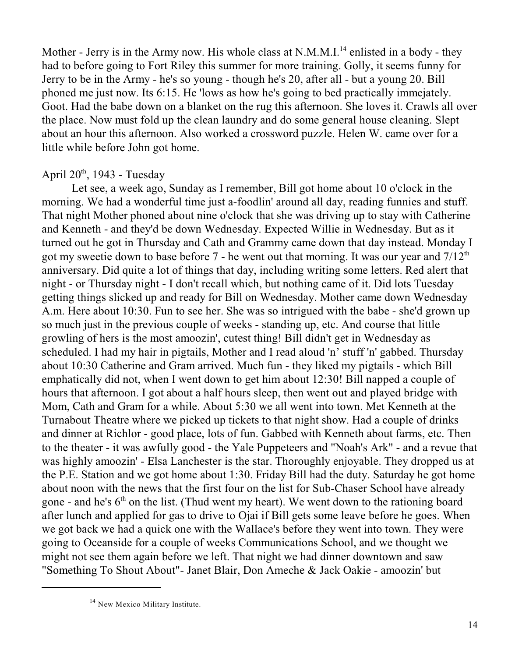Mother - Jerry is in the Army now. His whole class at N.M.M.I.<sup>14</sup> enlisted in a body - they had to before going to Fort Riley this summer for more training. Golly, it seems funny for Jerry to be in the Army - he's so young - though he's 20, after all - but a young 20. Bill phoned me just now. Its 6:15. He 'lows as how he's going to bed practically immejately. Goot. Had the babe down on a blanket on the rug this afternoon. She loves it. Crawls all over the place. Now must fold up the clean laundry and do some general house cleaning. Slept about an hour this afternoon. Also worked a crossword puzzle. Helen W. came over for a little while before John got home.

## April  $20<sup>th</sup>$ , 1943 - Tuesday

Let see, a week ago, Sunday as I remember, Bill got home about 10 o'clock in the morning. We had a wonderful time just a-foodlin' around all day, reading funnies and stuff. That night Mother phoned about nine o'clock that she was driving up to stay with Catherine and Kenneth - and they'd be down Wednesday. Expected Willie in Wednesday. But as it turned out he got in Thursday and Cath and Grammy came down that day instead. Monday I got my sweetie down to base before  $7$  - he went out that morning. It was our year and  $7/12<sup>th</sup>$ anniversary. Did quite a lot of things that day, including writing some letters. Red alert that night - or Thursday night - I don't recall which, but nothing came of it. Did lots Tuesday getting things slicked up and ready for Bill on Wednesday. Mother came down Wednesday A.m. Here about 10:30. Fun to see her. She was so intrigued with the babe - she'd grown up so much just in the previous couple of weeks - standing up, etc. And course that little growling of hers is the most amoozin', cutest thing! Bill didn't get in Wednesday as scheduled. I had my hair in pigtails, Mother and I read aloud 'n' stuff 'n' gabbed. Thursday about 10:30 Catherine and Gram arrived. Much fun - they liked my pigtails - which Bill emphatically did not, when I went down to get him about 12:30! Bill napped a couple of hours that afternoon. I got about a half hours sleep, then went out and played bridge with Mom, Cath and Gram for a while. About 5:30 we all went into town. Met Kenneth at the Turnabout Theatre where we picked up tickets to that night show. Had a couple of drinks and dinner at Richlor - good place, lots of fun. Gabbed with Kenneth about farms, etc. Then to the theater - it was awfully good - the Yale Puppeteers and "Noah's Ark" - and a revue that was highly amoozin' - Elsa Lanchester is the star. Thoroughly enjoyable. They dropped us at the P.E. Station and we got home about 1:30. Friday Bill had the duty. Saturday he got home about noon with the news that the first four on the list for Sub-Chaser School have already gone - and he's  $6<sup>th</sup>$  on the list. (Thud went my heart). We went down to the rationing board after lunch and applied for gas to drive to Ojai if Bill gets some leave before he goes. When we got back we had a quick one with the Wallace's before they went into town. They were going to Oceanside for a couple of weeks Communications School, and we thought we might not see them again before we left. That night we had dinner downtown and saw "Something To Shout About"- Janet Blair, Don Ameche & Jack Oakie - amoozin' but

<sup>&</sup>lt;sup>14</sup> New Mexico Military Institute.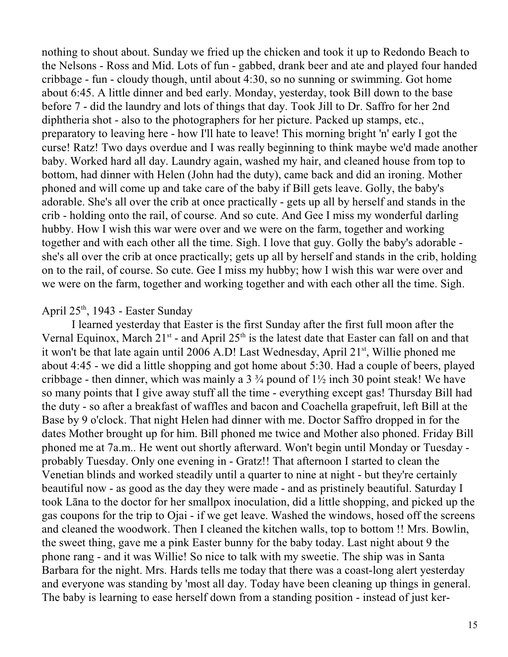nothing to shout about. Sunday we fried up the chicken and took it up to Redondo Beach to the Nelsons - Ross and Mid. Lots of fun - gabbed, drank beer and ate and played four handed cribbage - fun - cloudy though, until about 4:30, so no sunning or swimming. Got home about 6:45. A little dinner and bed early. Monday, yesterday, took Bill down to the base before 7 - did the laundry and lots of things that day. Took Jill to Dr. Saffro for her 2nd diphtheria shot - also to the photographers for her picture. Packed up stamps, etc., preparatory to leaving here - how I'll hate to leave! This morning bright 'n' early I got the curse! Ratz! Two days overdue and I was really beginning to think maybe we'd made another baby. Worked hard all day. Laundry again, washed my hair, and cleaned house from top to bottom, had dinner with Helen (John had the duty), came back and did an ironing. Mother phoned and will come up and take care of the baby if Bill gets leave. Golly, the baby's adorable. She's all over the crib at once practically - gets up all by herself and stands in the crib - holding onto the rail, of course. And so cute. And Gee I miss my wonderful darling hubby. How I wish this war were over and we were on the farm, together and working together and with each other all the time. Sigh. I love that guy. Golly the baby's adorable she's all over the crib at once practically; gets up all by herself and stands in the crib, holding on to the rail, of course. So cute. Gee I miss my hubby; how I wish this war were over and we were on the farm, together and working together and with each other all the time. Sigh.

#### April  $25<sup>th</sup>$ , 1943 - Easter Sunday

I learned yesterday that Easter is the first Sunday after the first full moon after the Vernal Equinox, March  $21^{st}$  - and April  $25^{th}$  is the latest date that Easter can fall on and that it won't be that late again until 2006 A.D! Last Wednesday, April  $21<sup>st</sup>$ , Willie phoned me about 4:45 - we did a little shopping and got home about 5:30. Had a couple of beers, played cribbage - then dinner, which was mainly a  $3\frac{3}{4}$  pound of  $1\frac{1}{2}$  inch 30 point steak! We have so many points that I give away stuff all the time - everything except gas! Thursday Bill had the duty - so after a breakfast of waffles and bacon and Coachella grapefruit, left Bill at the Base by 9 o'clock. That night Helen had dinner with me. Doctor Saffro dropped in for the dates Mother brought up for him. Bill phoned me twice and Mother also phoned. Friday Bill phoned me at 7a.m.. He went out shortly afterward. Won't begin until Monday or Tuesday probably Tuesday. Only one evening in - Gratz!! That afternoon I started to clean the Venetian blinds and worked steadily until a quarter to nine at night - but they're certainly beautiful now - as good as the day they were made - and as pristinely beautiful. Saturday I took Lâna to the doctor for her smallpox inoculation, did a little shopping, and picked up the gas coupons for the trip to Ojai - if we get leave. Washed the windows, hosed off the screens and cleaned the woodwork. Then I cleaned the kitchen walls, top to bottom !! Mrs. Bowlin, the sweet thing, gave me a pink Easter bunny for the baby today. Last night about 9 the phone rang - and it was Willie! So nice to talk with my sweetie. The ship was in Santa Barbara for the night. Mrs. Hards tells me today that there was a coast-long alert yesterday and everyone was standing by 'most all day. Today have been cleaning up things in general. The baby is learning to ease herself down from a standing position - instead of just ker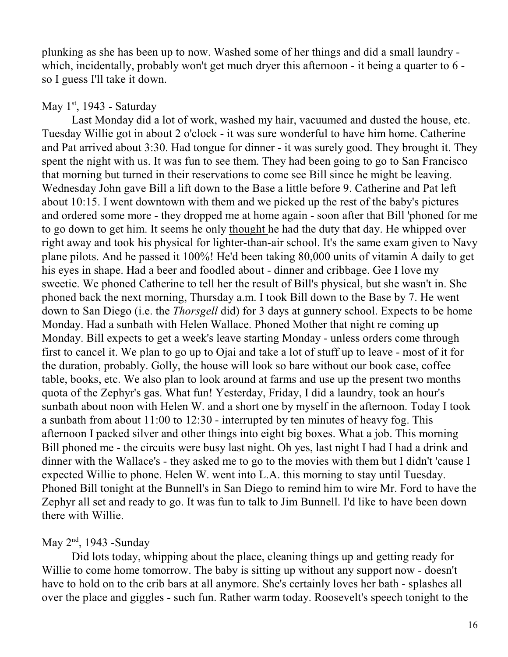plunking as she has been up to now. Washed some of her things and did a small laundry which, incidentally, probably won't get much dryer this afternoon - it being a quarter to 6 so I guess I'll take it down.

## May  $1<sup>st</sup>$ , 1943 - Saturday

Last Monday did a lot of work, washed my hair, vacuumed and dusted the house, etc. Tuesday Willie got in about 2 o'clock - it was sure wonderful to have him home. Catherine and Pat arrived about 3:30. Had tongue for dinner - it was surely good. They brought it. They spent the night with us. It was fun to see them. They had been going to go to San Francisco that morning but turned in their reservations to come see Bill since he might be leaving. Wednesday John gave Bill a lift down to the Base a little before 9. Catherine and Pat left about 10:15. I went downtown with them and we picked up the rest of the baby's pictures and ordered some more - they dropped me at home again - soon after that Bill 'phoned for me to go down to get him. It seems he only thought he had the duty that day. He whipped over right away and took his physical for lighter-than-air school. It's the same exam given to Navy plane pilots. And he passed it 100%! He'd been taking 80,000 units of vitamin A daily to get his eyes in shape. Had a beer and foodled about - dinner and cribbage. Gee I love my sweetie. We phoned Catherine to tell her the result of Bill's physical, but she wasn't in. She phoned back the next morning, Thursday a.m. I took Bill down to the Base by 7. He went down to San Diego (i.e. the *Thorsgell* did) for 3 days at gunnery school. Expects to be home Monday. Had a sunbath with Helen Wallace. Phoned Mother that night re coming up Monday. Bill expects to get a week's leave starting Monday - unless orders come through first to cancel it. We plan to go up to Ojai and take a lot of stuff up to leave - most of it for the duration, probably. Golly, the house will look so bare without our book case, coffee table, books, etc. We also plan to look around at farms and use up the present two months quota of the Zephyr's gas. What fun! Yesterday, Friday, I did a laundry, took an hour's sunbath about noon with Helen W. and a short one by myself in the afternoon. Today I took a sunbath from about 11:00 to 12:30 - interrupted by ten minutes of heavy fog. This afternoon I packed silver and other things into eight big boxes. What a job. This morning Bill phoned me - the circuits were busy last night. Oh yes, last night I had I had a drink and dinner with the Wallace's - they asked me to go to the movies with them but I didn't 'cause I expected Willie to phone. Helen W. went into L.A. this morning to stay until Tuesday. Phoned Bill tonight at the Bunnell's in San Diego to remind him to wire Mr. Ford to have the Zephyr all set and ready to go. It was fun to talk to Jim Bunnell. I'd like to have been down there with Willie.

# May  $2<sup>nd</sup>$ , 1943 -Sunday

Did lots today, whipping about the place, cleaning things up and getting ready for Willie to come home tomorrow. The baby is sitting up without any support now - doesn't have to hold on to the crib bars at all anymore. She's certainly loves her bath - splashes all over the place and giggles - such fun. Rather warm today. Roosevelt's speech tonight to the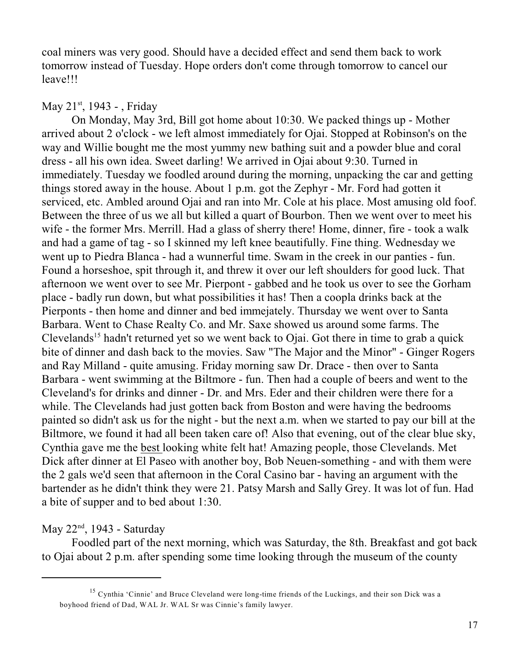coal miners was very good. Should have a decided effect and send them back to work tomorrow instead of Tuesday. Hope orders don't come through tomorrow to cancel our leave!!!

## May  $21^{st}$ , 1943 - , Friday

On Monday, May 3rd, Bill got home about 10:30. We packed things up - Mother arrived about 2 o'clock - we left almost immediately for Ojai. Stopped at Robinson's on the way and Willie bought me the most yummy new bathing suit and a powder blue and coral dress - all his own idea. Sweet darling! We arrived in Ojai about 9:30. Turned in immediately. Tuesday we foodled around during the morning, unpacking the car and getting things stored away in the house. About 1 p.m. got the Zephyr - Mr. Ford had gotten it serviced, etc. Ambled around Ojai and ran into Mr. Cole at his place. Most amusing old foof. Between the three of us we all but killed a quart of Bourbon. Then we went over to meet his wife - the former Mrs. Merrill. Had a glass of sherry there! Home, dinner, fire - took a walk and had a game of tag - so I skinned my left knee beautifully. Fine thing. Wednesday we went up to Piedra Blanca - had a wunnerful time. Swam in the creek in our panties - fun. Found a horseshoe, spit through it, and threw it over our left shoulders for good luck. That afternoon we went over to see Mr. Pierpont - gabbed and he took us over to see the Gorham place - badly run down, but what possibilities it has! Then a coopla drinks back at the Pierponts - then home and dinner and bed immejately. Thursday we went over to Santa Barbara. Went to Chase Realty Co. and Mr. Saxe showed us around some farms. The Clevelands<sup>15</sup> hadn't returned yet so we went back to Ojai. Got there in time to grab a quick bite of dinner and dash back to the movies. Saw "The Major and the Minor" - Ginger Rogers and Ray Milland - quite amusing. Friday morning saw Dr. Drace - then over to Santa Barbara - went swimming at the Biltmore - fun. Then had a couple of beers and went to the Cleveland's for drinks and dinner - Dr. and Mrs. Eder and their children were there for a while. The Clevelands had just gotten back from Boston and were having the bedrooms painted so didn't ask us for the night - but the next a.m. when we started to pay our bill at the Biltmore, we found it had all been taken care of! Also that evening, out of the clear blue sky, Cynthia gave me the best looking white felt hat! Amazing people, those Clevelands. Met Dick after dinner at El Paseo with another boy, Bob Neuen-something - and with them were the 2 gals we'd seen that afternoon in the Coral Casino bar - having an argument with the bartender as he didn't think they were 21. Patsy Marsh and Sally Grey. It was lot of fun. Had a bite of supper and to bed about 1:30.

# May  $22<sup>nd</sup>$ , 1943 - Saturday

Foodled part of the next morning, which was Saturday, the 8th. Breakfast and got back to Ojai about 2 p.m. after spending some time looking through the museum of the county

<sup>&</sup>lt;sup>15</sup> Cynthia 'Cinnie' and Bruce Cleveland were long-time friends of the Luckings, and their son Dick was a boyhood friend of Dad, WAL Jr. WAL Sr was Cinnie's family lawyer.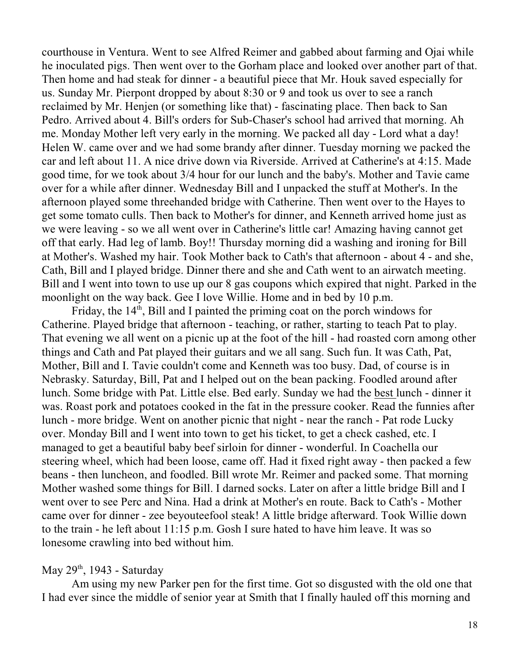courthouse in Ventura. Went to see Alfred Reimer and gabbed about farming and Ojai while he inoculated pigs. Then went over to the Gorham place and looked over another part of that. Then home and had steak for dinner - a beautiful piece that Mr. Houk saved especially for us. Sunday Mr. Pierpont dropped by about 8:30 or 9 and took us over to see a ranch reclaimed by Mr. Henjen (or something like that) - fascinating place. Then back to San Pedro. Arrived about 4. Bill's orders for Sub-Chaser's school had arrived that morning. Ah me. Monday Mother left very early in the morning. We packed all day - Lord what a day! Helen W. came over and we had some brandy after dinner. Tuesday morning we packed the car and left about 11. A nice drive down via Riverside. Arrived at Catherine's at 4:15. Made good time, for we took about 3/4 hour for our lunch and the baby's. Mother and Tavie came over for a while after dinner. Wednesday Bill and I unpacked the stuff at Mother's. In the afternoon played some threehanded bridge with Catherine. Then went over to the Hayes to get some tomato culls. Then back to Mother's for dinner, and Kenneth arrived home just as we were leaving - so we all went over in Catherine's little car! Amazing having cannot get off that early. Had leg of lamb. Boy!! Thursday morning did a washing and ironing for Bill at Mother's. Washed my hair. Took Mother back to Cath's that afternoon - about 4 - and she, Cath, Bill and I played bridge. Dinner there and she and Cath went to an airwatch meeting. Bill and I went into town to use up our 8 gas coupons which expired that night. Parked in the moonlight on the way back. Gee I love Willie. Home and in bed by 10 p.m.

Friday, the  $14<sup>th</sup>$ , Bill and I painted the priming coat on the porch windows for Catherine. Played bridge that afternoon - teaching, or rather, starting to teach Pat to play. That evening we all went on a picnic up at the foot of the hill - had roasted corn among other things and Cath and Pat played their guitars and we all sang. Such fun. It was Cath, Pat, Mother, Bill and I. Tavie couldn't come and Kenneth was too busy. Dad, of course is in Nebrasky. Saturday, Bill, Pat and I helped out on the bean packing. Foodled around after lunch. Some bridge with Pat. Little else. Bed early. Sunday we had the best lunch - dinner it was. Roast pork and potatoes cooked in the fat in the pressure cooker. Read the funnies after lunch - more bridge. Went on another picnic that night - near the ranch - Pat rode Lucky over. Monday Bill and I went into town to get his ticket, to get a check cashed, etc. I managed to get a beautiful baby beef sirloin for dinner - wonderful. In Coachella our steering wheel, which had been loose, came off. Had it fixed right away - then packed a few beans - then luncheon, and foodled. Bill wrote Mr. Reimer and packed some. That morning Mother washed some things for Bill. I darned socks. Later on after a little bridge Bill and I went over to see Perc and Nina. Had a drink at Mother's en route. Back to Cath's - Mother came over for dinner - zee beyouteefool steak! A little bridge afterward. Took Willie down to the train - he left about 11:15 p.m. Gosh I sure hated to have him leave. It was so lonesome crawling into bed without him.

## May  $29<sup>th</sup>$ , 1943 - Saturday

Am using my new Parker pen for the first time. Got so disgusted with the old one that I had ever since the middle of senior year at Smith that I finally hauled off this morning and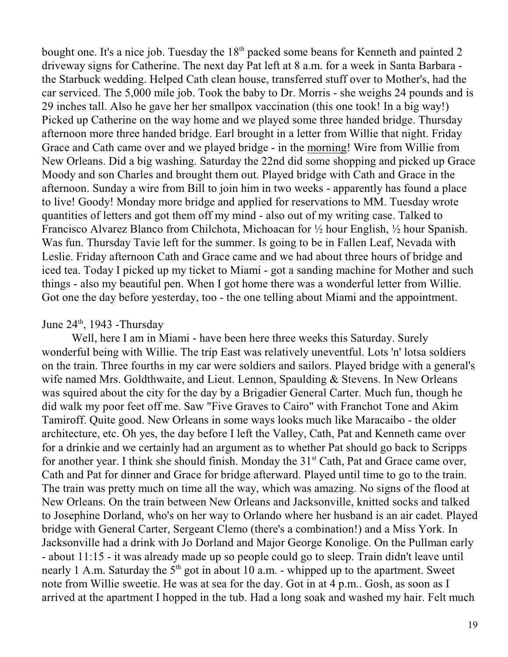bought one. It's a nice job. Tuesday the  $18<sup>th</sup>$  packed some beans for Kenneth and painted 2 driveway signs for Catherine. The next day Pat left at 8 a.m. for a week in Santa Barbara the Starbuck wedding. Helped Cath clean house, transferred stuff over to Mother's, had the car serviced. The 5,000 mile job. Took the baby to Dr. Morris - she weighs 24 pounds and is 29 inches tall. Also he gave her her smallpox vaccination (this one took! In a big way!) Picked up Catherine on the way home and we played some three handed bridge. Thursday afternoon more three handed bridge. Earl brought in a letter from Willie that night. Friday Grace and Cath came over and we played bridge - in the morning! Wire from Willie from New Orleans. Did a big washing. Saturday the 22nd did some shopping and picked up Grace Moody and son Charles and brought them out. Played bridge with Cath and Grace in the afternoon. Sunday a wire from Bill to join him in two weeks - apparently has found a place to live! Goody! Monday more bridge and applied for reservations to MM. Tuesday wrote quantities of letters and got them off my mind - also out of my writing case. Talked to Francisco Alvarez Blanco from Chilchota, Michoacan for ½ hour English, ½ hour Spanish. Was fun. Thursday Tavie left for the summer. Is going to be in Fallen Leaf, Nevada with Leslie. Friday afternoon Cath and Grace came and we had about three hours of bridge and iced tea. Today I picked up my ticket to Miami - got a sanding machine for Mother and such things - also my beautiful pen. When I got home there was a wonderful letter from Willie. Got one the day before yesterday, too - the one telling about Miami and the appointment.

#### June  $24<sup>th</sup>$ , 1943 - Thursday

Well, here I am in Miami - have been here three weeks this Saturday. Surely wonderful being with Willie. The trip East was relatively uneventful. Lots 'n' lotsa soldiers on the train. Three fourths in my car were soldiers and sailors. Played bridge with a general's wife named Mrs. Goldthwaite, and Lieut. Lennon, Spaulding & Stevens. In New Orleans was squired about the city for the day by a Brigadier General Carter. Much fun, though he did walk my poor feet off me. Saw "Five Graves to Cairo" with Franchot Tone and Akim Tamiroff. Quite good. New Orleans in some ways looks much like Maracaibo - the older architecture, etc. Oh yes, the day before I left the Valley, Cath, Pat and Kenneth came over for a drinkie and we certainly had an argument as to whether Pat should go back to Scripps for another year. I think she should finish. Monday the  $31<sup>st</sup>$  Cath, Pat and Grace came over, Cath and Pat for dinner and Grace for bridge afterward. Played until time to go to the train. The train was pretty much on time all the way, which was amazing. No signs of the flood at New Orleans. On the train between New Orleans and Jacksonville, knitted socks and talked to Josephine Dorland, who's on her way to Orlando where her husband is an air cadet. Played bridge with General Carter, Sergeant Clemo (there's a combination!) and a Miss York. In Jacksonville had a drink with Jo Dorland and Major George Konolige. On the Pullman early - about 11:15 - it was already made up so people could go to sleep. Train didn't leave until nearly 1 A.m. Saturday the  $5<sup>th</sup>$  got in about 10 a.m. - whipped up to the apartment. Sweet note from Willie sweetie. He was at sea for the day. Got in at 4 p.m.. Gosh, as soon as I arrived at the apartment I hopped in the tub. Had a long soak and washed my hair. Felt much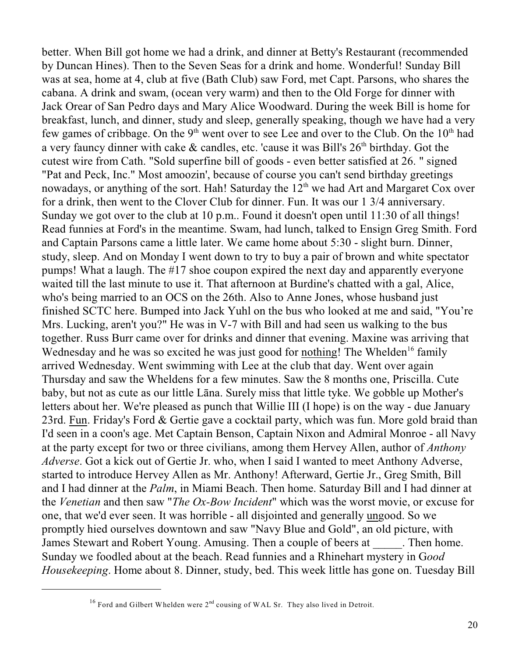better. When Bill got home we had a drink, and dinner at Betty's Restaurant (recommended by Duncan Hines). Then to the Seven Seas for a drink and home. Wonderful! Sunday Bill was at sea, home at 4, club at five (Bath Club) saw Ford, met Capt. Parsons, who shares the cabana. A drink and swam, (ocean very warm) and then to the Old Forge for dinner with Jack Orear of San Pedro days and Mary Alice Woodward. During the week Bill is home for breakfast, lunch, and dinner, study and sleep, generally speaking, though we have had a very few games of cribbage. On the 9<sup>th</sup> went over to see Lee and over to the Club. On the  $10<sup>th</sup>$  had a very fauncy dinner with cake  $\&$  candles, etc. 'cause it was Bill's 26<sup>th</sup> birthday. Got the cutest wire from Cath. "Sold superfine bill of goods - even better satisfied at 26. " signed "Pat and Peck, Inc." Most amoozin', because of course you can't send birthday greetings nowadays, or anything of the sort. Hah! Saturday the  $12<sup>th</sup>$  we had Art and Margaret Cox over for a drink, then went to the Clover Club for dinner. Fun. It was our 1 3/4 anniversary. Sunday we got over to the club at 10 p.m.. Found it doesn't open until 11:30 of all things! Read funnies at Ford's in the meantime. Swam, had lunch, talked to Ensign Greg Smith. Ford and Captain Parsons came a little later. We came home about 5:30 - slight burn. Dinner, study, sleep. And on Monday I went down to try to buy a pair of brown and white spectator pumps! What a laugh. The #17 shoe coupon expired the next day and apparently everyone waited till the last minute to use it. That afternoon at Burdine's chatted with a gal, Alice, who's being married to an OCS on the 26th. Also to Anne Jones, whose husband just finished SCTC here. Bumped into Jack Yuhl on the bus who looked at me and said, "You're Mrs. Lucking, aren't you?" He was in V-7 with Bill and had seen us walking to the bus together. Russ Burr came over for drinks and dinner that evening. Maxine was arriving that Wednesday and he was so excited he was just good for nothing! The Whelden<sup>16</sup> family arrived Wednesday. Went swimming with Lee at the club that day. Went over again Thursday and saw the Wheldens for a few minutes. Saw the 8 months one, Priscilla. Cute baby, but not as cute as our little Lâna. Surely miss that little tyke. We gobble up Mother's letters about her. We're pleased as punch that Willie III (I hope) is on the way - due January 23rd. Fun. Friday's Ford & Gertie gave a cocktail party, which was fun. More gold braid than I'd seen in a coon's age. Met Captain Benson, Captain Nixon and Admiral Monroe - all Navy at the party except for two or three civilians, among them Hervey Allen, author of *Anthony Adverse*. Got a kick out of Gertie Jr. who, when I said I wanted to meet Anthony Adverse, started to introduce Hervey Allen as Mr. Anthony! Afterward, Gertie Jr., Greg Smith, Bill and I had dinner at the *Palm*, in Miami Beach. Then home. Saturday Bill and I had dinner at the *Venetian* and then saw "*The Ox-Bow Incident*" which was the worst movie, or excuse for one, that we'd ever seen. It was horrible - all disjointed and generally ungood. So we promptly hied ourselves downtown and saw "Navy Blue and Gold", an old picture, with James Stewart and Robert Young. Amusing. Then a couple of beers at Then home. Sunday we foodled about at the beach. Read funnies and a Rhinehart mystery in G*ood Housekeeping*. Home about 8. Dinner, study, bed. This week little has gone on. Tuesday Bill

<sup>&</sup>lt;sup>16</sup> Ford and Gilbert Whelden were  $2<sup>nd</sup>$  cousing of WAL Sr. They also lived in Detroit.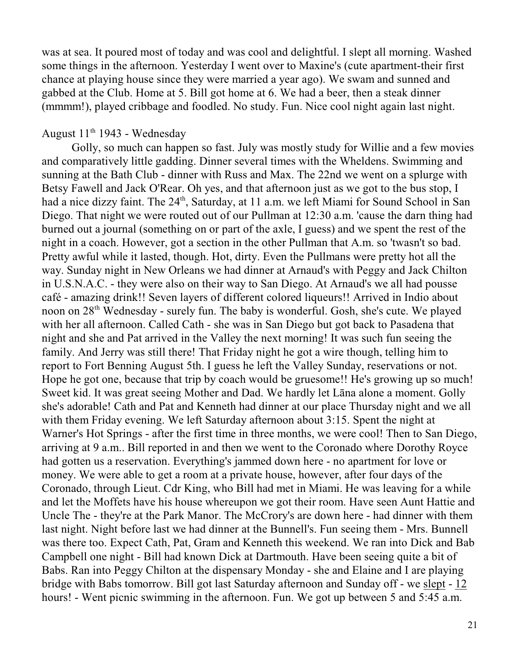was at sea. It poured most of today and was cool and delightful. I slept all morning. Washed some things in the afternoon. Yesterday I went over to Maxine's (cute apartment-their first chance at playing house since they were married a year ago). We swam and sunned and gabbed at the Club. Home at 5. Bill got home at 6. We had a beer, then a steak dinner (mmmm!), played cribbage and foodled. No study. Fun. Nice cool night again last night.

## August  $11<sup>th</sup>$  1943 - Wednesday

Golly, so much can happen so fast. July was mostly study for Willie and a few movies and comparatively little gadding. Dinner several times with the Wheldens. Swimming and sunning at the Bath Club - dinner with Russ and Max. The 22nd we went on a splurge with Betsy Fawell and Jack O'Rear. Oh yes, and that afternoon just as we got to the bus stop, I had a nice dizzy faint. The 24<sup>th</sup>, Saturday, at 11 a.m. we left Miami for Sound School in San Diego. That night we were routed out of our Pullman at 12:30 a.m. 'cause the darn thing had burned out a journal (something on or part of the axle, I guess) and we spent the rest of the night in a coach. However, got a section in the other Pullman that A.m. so 'twasn't so bad. Pretty awful while it lasted, though. Hot, dirty. Even the Pullmans were pretty hot all the way. Sunday night in New Orleans we had dinner at Arnaud's with Peggy and Jack Chilton in U.S.N.A.C. - they were also on their way to San Diego. At Arnaud's we all had pousse café - amazing drink!! Seven layers of different colored liqueurs!! Arrived in Indio about noon on 28<sup>th</sup> Wednesday - surely fun. The baby is wonderful. Gosh, she's cute. We played with her all afternoon. Called Cath - she was in San Diego but got back to Pasadena that night and she and Pat arrived in the Valley the next morning! It was such fun seeing the family. And Jerry was still there! That Friday night he got a wire though, telling him to report to Fort Benning August 5th. I guess he left the Valley Sunday, reservations or not. Hope he got one, because that trip by coach would be gruesome!! He's growing up so much! Sweet kid. It was great seeing Mother and Dad. We hardly let Lâna alone a moment. Golly she's adorable! Cath and Pat and Kenneth had dinner at our place Thursday night and we all with them Friday evening. We left Saturday afternoon about 3:15. Spent the night at Warner's Hot Springs - after the first time in three months, we were cool! Then to San Diego, arriving at 9 a.m.. Bill reported in and then we went to the Coronado where Dorothy Royce had gotten us a reservation. Everything's jammed down here - no apartment for love or money. We were able to get a room at a private house, however, after four days of the Coronado, through Lieut. Cdr King, who Bill had met in Miami. He was leaving for a while and let the Moffets have his house whereupon we got their room. Have seen Aunt Hattie and Uncle The - they're at the Park Manor. The McCrory's are down here - had dinner with them last night. Night before last we had dinner at the Bunnell's. Fun seeing them - Mrs. Bunnell was there too. Expect Cath, Pat, Gram and Kenneth this weekend. We ran into Dick and Bab Campbell one night - Bill had known Dick at Dartmouth. Have been seeing quite a bit of Babs. Ran into Peggy Chilton at the dispensary Monday - she and Elaine and I are playing bridge with Babs tomorrow. Bill got last Saturday afternoon and Sunday off - we slept - 12 hours! - Went picnic swimming in the afternoon. Fun. We got up between 5 and 5:45 a.m.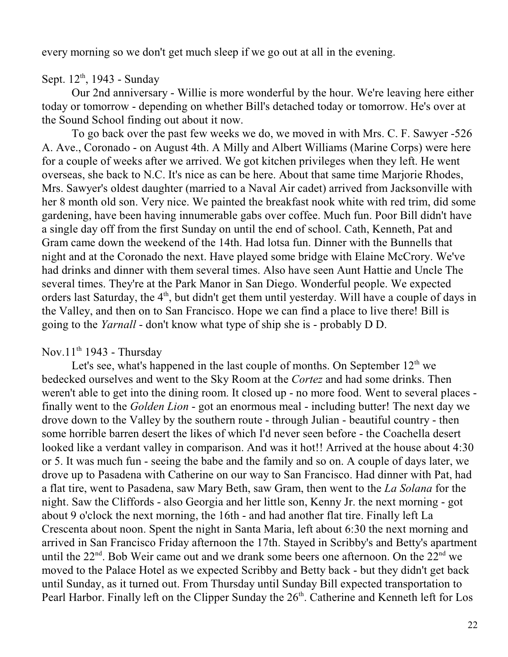every morning so we don't get much sleep if we go out at all in the evening.

Sept.  $12^{th}$ , 1943 - Sunday

Our 2nd anniversary - Willie is more wonderful by the hour. We're leaving here either today or tomorrow - depending on whether Bill's detached today or tomorrow. He's over at the Sound School finding out about it now.

To go back over the past few weeks we do, we moved in with Mrs. C. F. Sawyer -526 A. Ave., Coronado - on August 4th. A Milly and Albert Williams (Marine Corps) were here for a couple of weeks after we arrived. We got kitchen privileges when they left. He went overseas, she back to N.C. It's nice as can be here. About that same time Marjorie Rhodes, Mrs. Sawyer's oldest daughter (married to a Naval Air cadet) arrived from Jacksonville with her 8 month old son. Very nice. We painted the breakfast nook white with red trim, did some gardening, have been having innumerable gabs over coffee. Much fun. Poor Bill didn't have a single day off from the first Sunday on until the end of school. Cath, Kenneth, Pat and Gram came down the weekend of the 14th. Had lotsa fun. Dinner with the Bunnells that night and at the Coronado the next. Have played some bridge with Elaine McCrory. We've had drinks and dinner with them several times. Also have seen Aunt Hattie and Uncle The several times. They're at the Park Manor in San Diego. Wonderful people. We expected orders last Saturday, the 4<sup>th</sup>, but didn't get them until yesterday. Will have a couple of days in the Valley, and then on to San Francisco. Hope we can find a place to live there! Bill is going to the *Yarnall* - don't know what type of ship she is - probably D D.

## Nov.11<sup>th</sup> 1943 - Thursday

Let's see, what's happened in the last couple of months. On September  $12<sup>th</sup>$  we bedecked ourselves and went to the Sky Room at the *Cortez* and had some drinks. Then weren't able to get into the dining room. It closed up - no more food. Went to several places finally went to the *Golden Lion* - got an enormous meal - including butter! The next day we drove down to the Valley by the southern route - through Julian - beautiful country - then some horrible barren desert the likes of which I'd never seen before - the Coachella desert looked like a verdant valley in comparison. And was it hot!! Arrived at the house about 4:30 or 5. It was much fun - seeing the babe and the family and so on. A couple of days later, we drove up to Pasadena with Catherine on our way to San Francisco. Had dinner with Pat, had a flat tire, went to Pasadena, saw Mary Beth, saw Gram, then went to the *La Solana* for the night. Saw the Cliffords - also Georgia and her little son, Kenny Jr. the next morning - got about 9 o'clock the next morning, the 16th - and had another flat tire. Finally left La Crescenta about noon. Spent the night in Santa Maria, left about 6:30 the next morning and arrived in San Francisco Friday afternoon the 17th. Stayed in Scribby's and Betty's apartment until the  $22<sup>nd</sup>$ . Bob Weir came out and we drank some beers one afternoon. On the  $22<sup>nd</sup>$  we moved to the Palace Hotel as we expected Scribby and Betty back - but they didn't get back until Sunday, as it turned out. From Thursday until Sunday Bill expected transportation to Pearl Harbor. Finally left on the Clipper Sunday the 26<sup>th</sup>. Catherine and Kenneth left for Los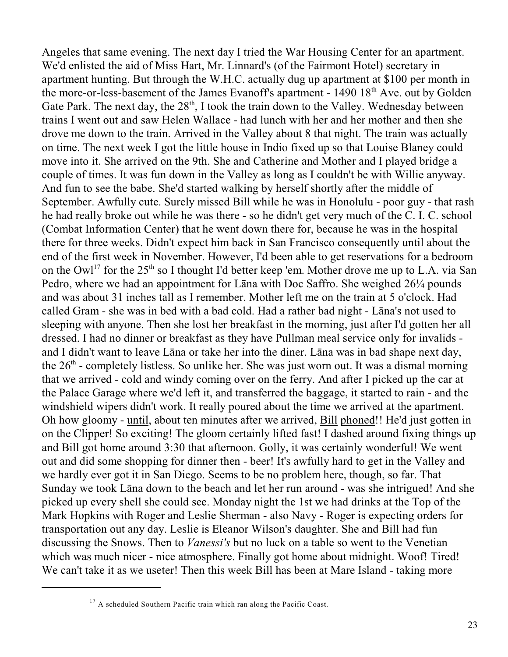Angeles that same evening. The next day I tried the War Housing Center for an apartment. We'd enlisted the aid of Miss Hart, Mr. Linnard's (of the Fairmont Hotel) secretary in apartment hunting. But through the W.H.C. actually dug up apartment at \$100 per month in the more-or-less-basement of the James Evanoff's apartment -  $1490\,18<sup>th</sup>$  Ave. out by Golden Gate Park. The next day, the  $28<sup>th</sup>$ , I took the train down to the Valley. Wednesday between trains I went out and saw Helen Wallace - had lunch with her and her mother and then she drove me down to the train. Arrived in the Valley about 8 that night. The train was actually on time. The next week I got the little house in Indio fixed up so that Louise Blaney could move into it. She arrived on the 9th. She and Catherine and Mother and I played bridge a couple of times. It was fun down in the Valley as long as I couldn't be with Willie anyway. And fun to see the babe. She'd started walking by herself shortly after the middle of September. Awfully cute. Surely missed Bill while he was in Honolulu - poor guy - that rash he had really broke out while he was there - so he didn't get very much of the C. I. C. school (Combat Information Center) that he went down there for, because he was in the hospital there for three weeks. Didn't expect him back in San Francisco consequently until about the end of the first week in November. However, I'd been able to get reservations for a bedroom on the Owl<sup>17</sup> for the 25<sup>th</sup> so I thought I'd better keep 'em. Mother drove me up to L.A. via San Pedro, where we had an appointment for Lâna with Doc Saffro. She weighed 26¼ pounds and was about 31 inches tall as I remember. Mother left me on the train at 5 o'clock. Had called Gram - she was in bed with a bad cold. Had a rather bad night - Lâna's not used to sleeping with anyone. Then she lost her breakfast in the morning, just after I'd gotten her all dressed. I had no dinner or breakfast as they have Pullman meal service only for invalids and I didn't want to leave Lâna or take her into the diner. Lâna was in bad shape next day, the  $26<sup>th</sup>$  - completely listless. So unlike her. She was just worn out. It was a dismal morning that we arrived - cold and windy coming over on the ferry. And after I picked up the car at the Palace Garage where we'd left it, and transferred the baggage, it started to rain - and the windshield wipers didn't work. It really poured about the time we arrived at the apartment. Oh how gloomy - until, about ten minutes after we arrived, Bill phoned!! He'd just gotten in on the Clipper! So exciting! The gloom certainly lifted fast! I dashed around fixing things up and Bill got home around 3:30 that afternoon. Golly, it was certainly wonderful! We went out and did some shopping for dinner then - beer! It's awfully hard to get in the Valley and we hardly ever got it in San Diego. Seems to be no problem here, though, so far. That Sunday we took Lâna down to the beach and let her run around - was she intrigued! And she picked up every shell she could see. Monday night the 1st we had drinks at the Top of the Mark Hopkins with Roger and Leslie Sherman - also Navy - Roger is expecting orders for transportation out any day. Leslie is Eleanor Wilson's daughter. She and Bill had fun discussing the Snows. Then to *Vanessi's* but no luck on a table so went to the Venetian which was much nicer - nice atmosphere. Finally got home about midnight. Woof! Tired! We can't take it as we useter! Then this week Bill has been at Mare Island - taking more

 $17$  A scheduled Southern Pacific train which ran along the Pacific Coast.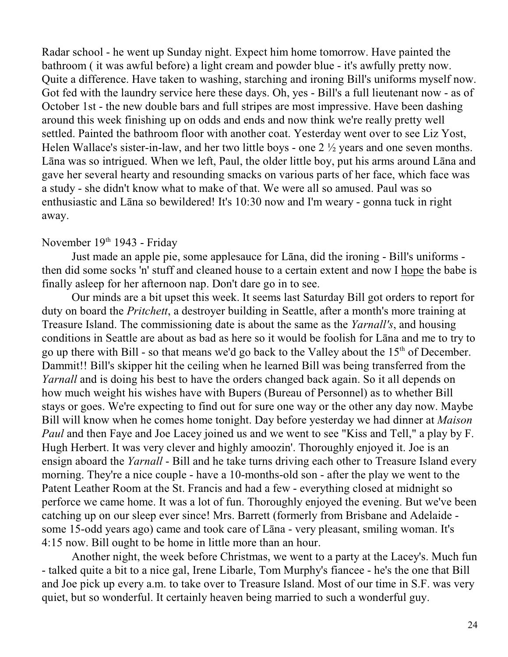Radar school - he went up Sunday night. Expect him home tomorrow. Have painted the bathroom ( it was awful before) a light cream and powder blue - it's awfully pretty now. Quite a difference. Have taken to washing, starching and ironing Bill's uniforms myself now. Got fed with the laundry service here these days. Oh, yes - Bill's a full lieutenant now - as of October 1st - the new double bars and full stripes are most impressive. Have been dashing around this week finishing up on odds and ends and now think we're really pretty well settled. Painted the bathroom floor with another coat. Yesterday went over to see Liz Yost, Helen Wallace's sister-in-law, and her two little boys - one 2 ½ years and one seven months. Lâna was so intrigued. When we left, Paul, the older little boy, put his arms around Lâna and gave her several hearty and resounding smacks on various parts of her face, which face was a study - she didn't know what to make of that. We were all so amused. Paul was so enthusiastic and Lâna so bewildered! It's 10:30 now and I'm weary - gonna tuck in right away.

## November  $19<sup>th</sup> 1943$  - Friday

Just made an apple pie, some applesauce for Lâna, did the ironing - Bill's uniforms then did some socks 'n' stuff and cleaned house to a certain extent and now I hope the babe is finally asleep for her afternoon nap. Don't dare go in to see.

Our minds are a bit upset this week. It seems last Saturday Bill got orders to report for duty on board the *Pritchett*, a destroyer building in Seattle, after a month's more training at Treasure Island. The commissioning date is about the same as the *Yarnall's*, and housing conditions in Seattle are about as bad as here so it would be foolish for Lâna and me to try to go up there with Bill - so that means we'd go back to the Valley about the  $15<sup>th</sup>$  of December. Dammit!! Bill's skipper hit the ceiling when he learned Bill was being transferred from the *Yarnall* and is doing his best to have the orders changed back again. So it all depends on how much weight his wishes have with Bupers (Bureau of Personnel) as to whether Bill stays or goes. We're expecting to find out for sure one way or the other any day now. Maybe Bill will know when he comes home tonight. Day before yesterday we had dinner at *Maison Paul* and then Faye and Joe Lacey joined us and we went to see "Kiss and Tell," a play by F. Hugh Herbert. It was very clever and highly amoozin'. Thoroughly enjoyed it. Joe is an ensign aboard the *Yarnall* - Bill and he take turns driving each other to Treasure Island every morning. They're a nice couple - have a 10-months-old son - after the play we went to the Patent Leather Room at the St. Francis and had a few - everything closed at midnight so perforce we came home. It was a lot of fun. Thoroughly enjoyed the evening. But we've been catching up on our sleep ever since! Mrs. Barrett (formerly from Brisbane and Adelaide some 15-odd years ago) came and took care of Lâna - very pleasant, smiling woman. It's 4:15 now. Bill ought to be home in little more than an hour.

Another night, the week before Christmas, we went to a party at the Lacey's. Much fun - talked quite a bit to a nice gal, Irene Libarle, Tom Murphy's fiancee - he's the one that Bill and Joe pick up every a.m. to take over to Treasure Island. Most of our time in S.F. was very quiet, but so wonderful. It certainly heaven being married to such a wonderful guy.